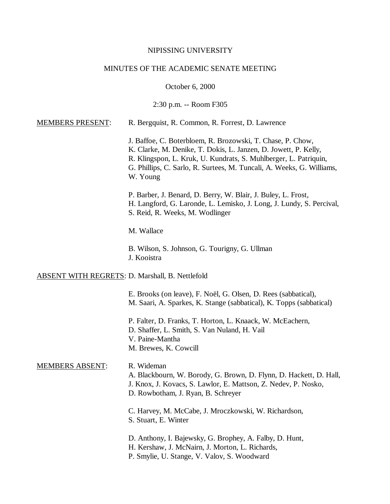#### NIPISSING UNIVERSITY

#### MINUTES OF THE ACADEMIC SENATE MEETING

October 6, 2000

2:30 p.m. -- Room F305

| J. Baffoe, C. Boterbloem, R. Brozowski, T. Chase, P. Chow,<br>K. Clarke, M. Denike, T. Dokis, L. Janzen, D. Jowett, P. Kelly,<br>R. Klingspon, L. Kruk, U. Kundrats, S. Muhlberger, L. Patriquin,<br>G. Phillips, C. Sarlo, R. Surtees, M. Tuncali, A. Weeks, G. Williams,<br>W. Young |
|----------------------------------------------------------------------------------------------------------------------------------------------------------------------------------------------------------------------------------------------------------------------------------------|
| P. Barber, J. Benard, D. Berry, W. Blair, J. Buley, L. Frost,<br>H. Langford, G. Laronde, L. Lemisko, J. Long, J. Lundy, S. Percival,<br>S. Reid, R. Weeks, M. Wodlinger                                                                                                               |

MEMBERS PRESENT: R. Bergquist, R. Common, R. Forrest, D. Lawrence

M. Wallace

B. Wilson, S. Johnson, G. Tourigny, G. Ullman J. Kooistra

#### ABSENT WITH REGRETS: D. Marshall, B. Nettlefold

E. Brooks (on leave), F. Noël, G. Olsen, D. Rees (sabbatical), M. Saari, A. Sparkes, K. Stange (sabbatical), K. Topps (sabbatical)

P. Falter, D. Franks, T. Horton, L. Knaack, W. McEachern, D. Shaffer, L. Smith, S. Van Nuland, H. Vail V. Paine-Mantha M. Brewes, K. Cowcill

## MEMBERS ABSENT: R. Wideman

A. Blackbourn, W. Borody, G. Brown, D. Flynn, D. Hackett, D. Hall, J. Knox, J. Kovacs, S. Lawlor, E. Mattson, Z. Nedev, P. Nosko, D. Rowbotham, J. Ryan, B. Schreyer

C. Harvey, M. McCabe, J. Mroczkowski, W. Richardson, S. Stuart, E. Winter

D. Anthony, I. Bajewsky, G. Brophey, A. Falby, D. Hunt,

- H. Kershaw, J. McNairn, J. Morton, L. Richards,
- P. Smylie, U. Stange, V. Valov, S. Woodward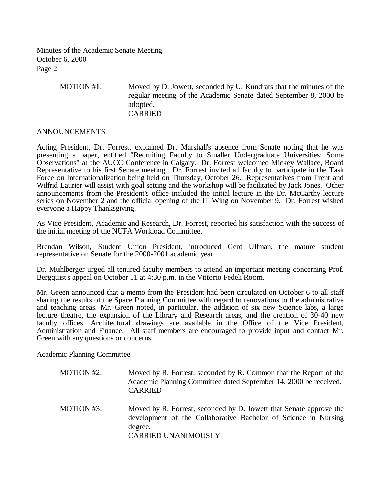Minutes of the Academic Senate Meeting October 6, 2000 Page 2

> MOTION #1: Moved by D. Jowett, seconded by U. Kundrats that the minutes of the regular meeting of the Academic Senate dated September 8, 2000 be adopted. CARRIED

#### ANNOUNCEMENTS

Acting President, Dr. Forrest, explained Dr. Marshall's absence from Senate noting that he was presenting a paper, entitled "Recruiting Faculty to Smaller Undergraduate Universities: Some Observations" at the AUCC Conference in Calgary. Dr. Forrest welcomed Mickey Wallace, Board Representative to his first Senate meeting. Dr. Forrest invited all faculty to participate in the Task Force on Internationalization being held on Thursday, October 26. Representatives from Trent and Wilfrid Laurier will assist with goal setting and the workshop will be facilitated by Jack Jones. Other announcements from the President's office included the initial lecture in the Dr. McCarthy lecture series on November 2 and the official opening of the IT Wing on November 9. Dr. Forrest wished everyone a Happy Thanksgiving.

As Vice President, Academic and Research, Dr. Forrest, reported his satisfaction with the success of the initial meeting of the NUFA Workload Committee.

Brendan Wilson, Student Union President, introduced Gerd Ullman, the mature student representative on Senate for the 2000-2001 academic year.

Dr. Muhlberger urged all tenured faculty members to attend an important meeting concerning Prof. Bergquist's appeal on October 11 at 4:30 p.m. in the Vittorio Fedeli Room.

Mr. Green announced that a memo from the President had been circulated on October 6 to all staff sharing the results of the Space Planning Committee with regard to renovations to the administrative and teaching areas. Mr. Green noted, in particular, the addition of six new Science labs, a large lecture theatre, the expansion of the Library and Research areas, and the creation of 30-40 new faculty offices. Architectural drawings are available in the Office of the Vice President, Administration and Finance. All staff members are encouraged to provide input and contact Mr. Green with any questions or concerns.

Academic Planning Committee

- MOTION #2: Moved by R. Forrest, seconded by R. Common that the Report of the Academic Planning Committee dated September 14, 2000 be received. CARRIED
- MOTION #3: Moved by R. Forrest, seconded by D. Jowett that Senate approve the development of the Collaborative Bachelor of Science in Nursing degree. CARRIED UNANIMOUSLY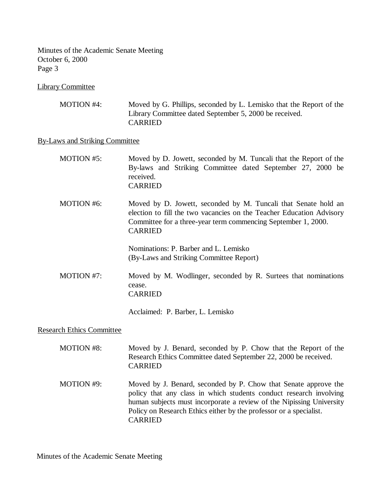Minutes of the Academic Senate Meeting October 6, 2000 Page 3

Library Committee

| MOTION #4: | Moved by G. Phillips, seconded by L. Lemisko that the Report of the |
|------------|---------------------------------------------------------------------|
|            | Library Committee dated September 5, 2000 be received.              |
|            | <b>CARRIED</b>                                                      |

# By-Laws and Striking Committee

| MOTION #5:                       | Moved by D. Jowett, seconded by M. Tuncali that the Report of the<br>By-laws and Striking Committee dated September 27, 2000 be<br>received.<br><b>CARRIED</b>                                                            |
|----------------------------------|---------------------------------------------------------------------------------------------------------------------------------------------------------------------------------------------------------------------------|
| <b>MOTION #6:</b>                | Moved by D. Jowett, seconded by M. Tuncali that Senate hold an<br>election to fill the two vacancies on the Teacher Education Advisory<br>Committee for a three-year term commencing September 1, 2000.<br><b>CARRIED</b> |
|                                  | Nominations: P. Barber and L. Lemisko<br>(By-Laws and Striking Committee Report)                                                                                                                                          |
| <b>MOTION #7:</b>                | Moved by M. Wodlinger, seconded by R. Surtees that nominations<br>cease.<br><b>CARRIED</b>                                                                                                                                |
|                                  | Acclaimed: P. Barber, L. Lemisko                                                                                                                                                                                          |
| <b>Research Ethics Committee</b> |                                                                                                                                                                                                                           |

| <b>MOTION #8:</b> | Moved by J. Benard, seconded by P. Chow that the Report of the<br>Research Ethics Committee dated September 22, 2000 be received.<br><b>CARRIED</b>                                                                                                                                                   |
|-------------------|-------------------------------------------------------------------------------------------------------------------------------------------------------------------------------------------------------------------------------------------------------------------------------------------------------|
| <b>MOTION #9:</b> | Moved by J. Benard, seconded by P. Chow that Senate approve the<br>policy that any class in which students conduct research involving<br>human subjects must incorporate a review of the Nipissing University<br>Policy on Research Ethics either by the professor or a specialist.<br><b>CARRIED</b> |

Minutes of the Academic Senate Meeting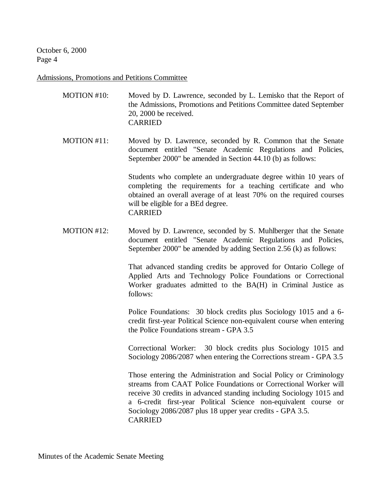### Admissions, Promotions and Petitions Committee

| MOTION #10: | Moved by D. Lawrence, seconded by L. Lemisko that the Report of    |
|-------------|--------------------------------------------------------------------|
|             | the Admissions, Promotions and Petitions Committee dated September |
|             | $20, 2000$ be received.                                            |
|             | <b>CARRIED</b>                                                     |
|             |                                                                    |

MOTION #11: Moved by D. Lawrence, seconded by R. Common that the Senate document entitled "Senate Academic Regulations and Policies, September 2000" be amended in Section 44.10 (b) as follows:

> Students who complete an undergraduate degree within 10 years of completing the requirements for a teaching certificate and who obtained an overall average of at least 70% on the required courses will be eligible for a BEd degree. CARRIED

MOTION #12: Moved by D. Lawrence, seconded by S. Muhlberger that the Senate document entitled "Senate Academic Regulations and Policies, September 2000" be amended by adding Section 2.56 (k) as follows:

> That advanced standing credits be approved for Ontario College of Applied Arts and Technology Police Foundations or Correctional Worker graduates admitted to the BA(H) in Criminal Justice as follows:

> Police Foundations: 30 block credits plus Sociology 1015 and a 6 credit first-year Political Science non-equivalent course when entering the Police Foundations stream - GPA 3.5

> Correctional Worker: 30 block credits plus Sociology 1015 and Sociology 2086/2087 when entering the Corrections stream - GPA 3.5

> Those entering the Administration and Social Policy or Criminology streams from CAAT Police Foundations or Correctional Worker will receive 30 credits in advanced standing including Sociology 1015 and a 6-credit first-year Political Science non-equivalent course or Sociology 2086/2087 plus 18 upper year credits - GPA 3.5. CARRIED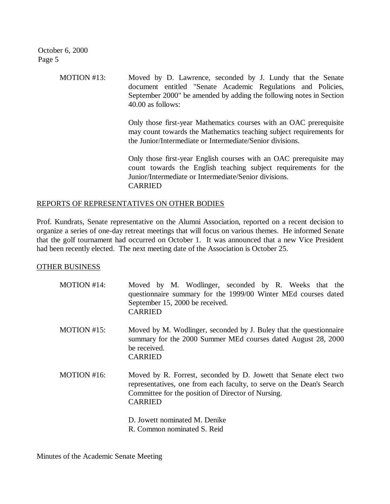> MOTION #13: Moved by D. Lawrence, seconded by J. Lundy that the Senate document entitled "Senate Academic Regulations and Policies, September 2000" be amended by adding the following notes in Section 40.00 as follows:

> > Only those first-year Mathematics courses with an OAC prerequisite may count towards the Mathematics teaching subject requirements for the Junior/Intermediate or Intermediate/Senior divisions.

> > Only those first-year English courses with an OAC prerequisite may count towards the English teaching subject requirements for the Junior/Intermediate or Intermediate/Senior divisions. CARRIED

# REPORTS OF REPRESENTATIVES ON OTHER BODIES

Prof. Kundrats, Senate representative on the Alumni Association, reported on a recent decision to organize a series of one-day retreat meetings that will focus on various themes. He informed Senate that the golf tournament had occurred on October 1. It was announced that a new Vice President had been recently elected. The next meeting date of the Association is October 25.

# OTHER BUSINESS

- MOTION #14: Moved by M. Wodlinger, seconded by R. Weeks that the questionnaire summary for the 1999/00 Winter MEd courses dated September 15, 2000 be received. CARRIED
- MOTION #15: Moved by M. Wodlinger, seconded by J. Buley that the questionnaire summary for the 2000 Summer MEd courses dated August 28, 2000 be received. CARRIED
- MOTION #16: Moved by R. Forrest, seconded by D. Jowett that Senate elect two representatives, one from each faculty, to serve on the Dean's Search Committee for the position of Director of Nursing. CARRIED
	- D. Jowett nominated M. Denike
	- R. Common nominated S. Reid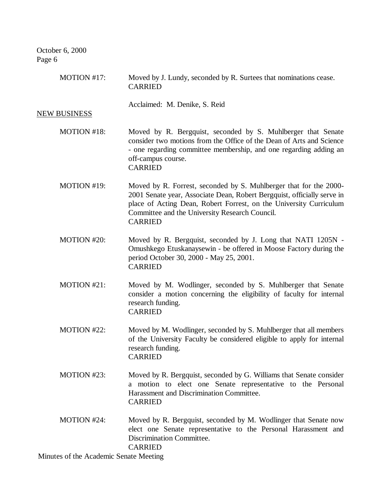| MOTION #17:                            | Moved by J. Lundy, seconded by R. Surtees that nominations cease.<br><b>CARRIED</b>                                                                                                                                                                                                    |
|----------------------------------------|----------------------------------------------------------------------------------------------------------------------------------------------------------------------------------------------------------------------------------------------------------------------------------------|
| <b>NEW BUSINESS</b>                    | Acclaimed: M. Denike, S. Reid                                                                                                                                                                                                                                                          |
| MOTION #18:                            | Moved by R. Bergquist, seconded by S. Muhlberger that Senate<br>consider two motions from the Office of the Dean of Arts and Science<br>- one regarding committee membership, and one regarding adding an<br>off-campus course.<br><b>CARRIED</b>                                      |
| MOTION #19:                            | Moved by R. Forrest, seconded by S. Muhlberger that for the 2000-<br>2001 Senate year, Associate Dean, Robert Bergquist, officially serve in<br>place of Acting Dean, Robert Forrest, on the University Curriculum<br>Committee and the University Research Council.<br><b>CARRIED</b> |
| MOTION #20:                            | Moved by R. Bergquist, seconded by J. Long that NATI 1205N -<br>Omushkego Etuskanaysewin - be offered in Moose Factory during the<br>period October 30, 2000 - May 25, 2001.<br><b>CARRIED</b>                                                                                         |
| MOTION #21:                            | Moved by M. Wodlinger, seconded by S. Muhlberger that Senate<br>consider a motion concerning the eligibility of faculty for internal<br>research funding.<br><b>CARRIED</b>                                                                                                            |
| MOTION #22:                            | Moved by M. Wodlinger, seconded by S. Muhlberger that all members<br>of the University Faculty be considered eligible to apply for internal<br>research funding.<br><b>CARRIED</b>                                                                                                     |
| MOTION #23:                            | Moved by R. Bergquist, seconded by G. Williams that Senate consider<br>a motion to elect one Senate representative to the Personal<br>Harassment and Discrimination Committee.<br><b>CARRIED</b>                                                                                       |
| MOTION #24:                            | Moved by R. Bergquist, seconded by M. Wodlinger that Senate now<br>elect one Senate representative to the Personal Harassment and<br>Discrimination Committee.<br><b>CARRIED</b>                                                                                                       |
| Minutes of the Academic Senate Meeting |                                                                                                                                                                                                                                                                                        |